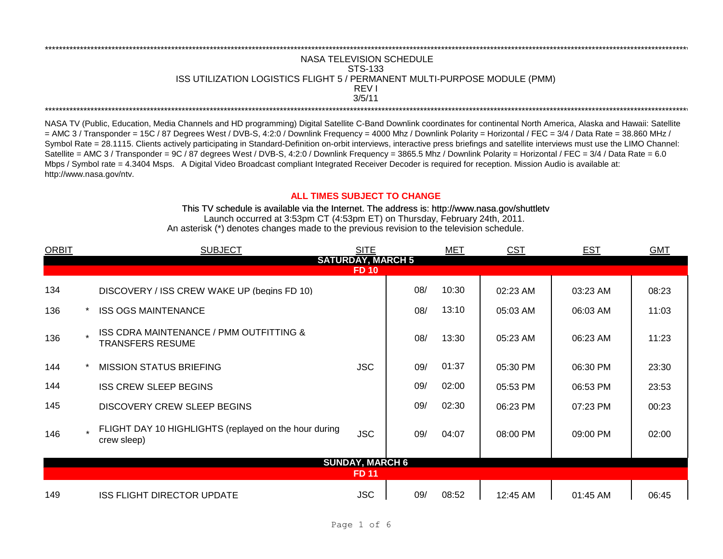## \*\*\*\*\*\*\*\*\*\*\*\*\*\*\*\*\*\*\*\*\*\*\*\*\*\*\*\*\*\*\*\*\*\*\*\*\*\*\*\*\*\*\*\*\*\*\*\*\*\*\*\*\*\*\*\*\*\*\*\*\*\*\*\*\*\*\*\*\*\*\*\*\*\*\*\*\*\*\*\*\*\*\*\*\*\*\*\*\*\*\*\*\*\*\*\*\*\*\*\*\*\*\*\*\*\*\*\*\*\*\*\*\*\*\*\*\*\*\*\*\*\*\*\*\*\*\*\*\*\*\*\*\*\*\*\*\*\*\*\*\*\*\*\*\*\*\*\*\*\*\*\*\*\*\*\*\*\*\*\*\*\*\*\*\*\*\*\*\*\*\*\*\*\*\*\*\*\*\*\*\*\*\*\*\* NASA TELEVISION SCHEDULE STS-133 ISS UTILIZATION LOGISTICS FLIGHT 5 / PERMANENT MULTI-PURPOSE MODULE (PMM) REV I \*\*\*\*\*\*\*\*\*\*\*\*\*\*\*\*\*\*\*\*\*\*\*\*\*\*\*\*\*\*\*\*\*\*\*\*\*\*\*\*\*\*\*\*\*\*\*\*\*\*\*\*\*\*\*\*\*\*\*\*\*\*\*\*\*\*\*\*\*\*\*\*\*\*\*\*\*\*\*\*\*\*\*\*\*\*\*\*\*\*\*\*\*\*\*\*\*\*\*\*\*\*\*\*\*\*\*\*\*\*\*\*\*\*\*\*\*\*\*\*\*\*\*\*\*\*\*\*\*\*\*\*\*\*\*\*\*\*\*\*\*\*\*\*\*\*\*\*\*\*\*\*\*\*\*\*\*\*\*\*\*\*\*\*\*\*\*\*\*\*\*\*\*\*\*\*\*\*\*\*\*\*\*\*\* 3/5/11

NASA TV (Public, Education, Media Channels and HD programming) Digital Satellite C-Band Downlink coordinates for continental North America, Alaska and Hawaii: Satellite  $=$  AMC 3 / Transponder = 15C / 87 Degrees West / DVB-S, 4:2:0 / Downlink Frequency = 4000 Mhz / Downlink Polarity = Horizontal / FEC = 3/4 / Data Rate = 38.860 MHz / Symbol Rate = 28.1115. Clients actively participating in Standard-Definition on-orbit interviews, interactive press briefings and satellite interviews must use the LIMO Channel: Satellite = AMC 3 / Transponder = 9C / 87 degrees West / DVB-S, 4:2:0 / Downlink Frequency = 3865.5 Mhz / Downlink Polarity = Horizontal / FEC = 3/4 / Data Rate = 6.0 Mbps / Symbol rate = 4.3404 Msps. A Digital Video Broadcast compliant Integrated Receiver Decoder is required for reception. Mission Audio is available at: http://www.nasa.gov/ntv.

## **ALL TIMES SUBJECT TO CHANGE**

Launch occurred at 3:53pm CT (4:53pm ET) on Thursday, February 24th, 2011. An asterisk (\*) denotes changes made to the previous revision to the television schedule. This TV schedule is available via the Internet. The address is: http://www.nasa.gov/shuttletv

| <b>ORBIT</b>             |  | <b>SUBJECT</b>                                                       | <b>SITE</b>            |     | MET   | <b>CST</b> | <b>EST</b> | <b>GMT</b> |  |  |
|--------------------------|--|----------------------------------------------------------------------|------------------------|-----|-------|------------|------------|------------|--|--|
| <b>SATURDAY, MARCH 5</b> |  |                                                                      |                        |     |       |            |            |            |  |  |
| <b>FD 10</b>             |  |                                                                      |                        |     |       |            |            |            |  |  |
| 134                      |  | DISCOVERY / ISS CREW WAKE UP (begins FD 10)                          |                        | 08/ | 10:30 | 02:23 AM   | 03:23 AM   | 08:23      |  |  |
| 136                      |  | <b>ISS OGS MAINTENANCE</b>                                           |                        | 08/ | 13:10 | 05:03 AM   | 06:03 AM   | 11:03      |  |  |
| 136                      |  | ISS CDRA MAINTENANCE / PMM OUTFITTING &<br><b>TRANSFERS RESUME</b>   |                        | 08/ | 13:30 | 05:23 AM   | 06:23 AM   | 11:23      |  |  |
| 144                      |  | <b>MISSION STATUS BRIEFING</b>                                       | <b>JSC</b>             | 09/ | 01:37 | 05:30 PM   | 06:30 PM   | 23:30      |  |  |
| 144                      |  | <b>ISS CREW SLEEP BEGINS</b>                                         |                        | 09/ | 02:00 | 05:53 PM   | 06:53 PM   | 23:53      |  |  |
| 145                      |  | DISCOVERY CREW SLEEP BEGINS                                          |                        | 09/ | 02:30 | 06:23 PM   | 07:23 PM   | 00:23      |  |  |
| 146                      |  | FLIGHT DAY 10 HIGHLIGHTS (replayed on the hour during<br>crew sleep) | <b>JSC</b>             | 09/ | 04:07 | 08:00 PM   | 09:00 PM   | 02:00      |  |  |
|                          |  |                                                                      | <b>SUNDAY, MARCH 6</b> |     |       |            |            |            |  |  |
|                          |  |                                                                      | <b>FD 11</b>           |     |       |            |            |            |  |  |
| 149                      |  | ISS FLIGHT DIRECTOR UPDATE                                           | <b>JSC</b>             | 09/ | 08:52 | 12:45 AM   | 01:45 AM   | 06:45      |  |  |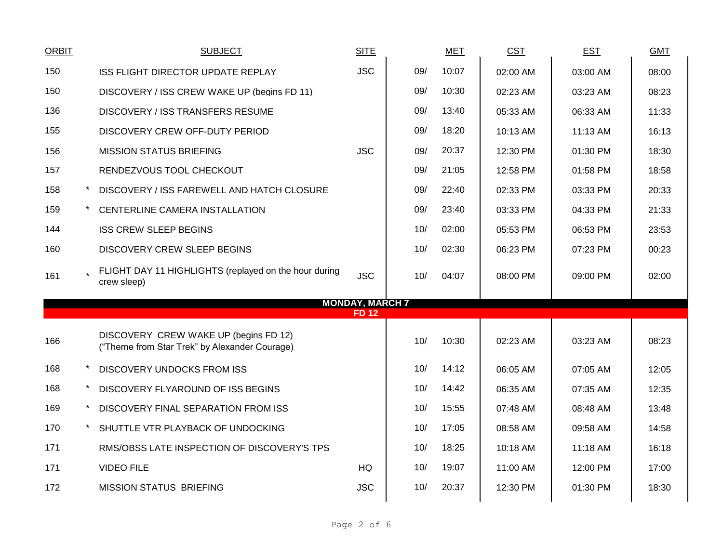| <b>ORBIT</b> | <b>SUBJECT</b>                                                                         | <b>SITE</b>                            |     | <b>MET</b> | <b>CST</b> | <b>EST</b> | <b>GMT</b> |
|--------------|----------------------------------------------------------------------------------------|----------------------------------------|-----|------------|------------|------------|------------|
| 150          | ISS FLIGHT DIRECTOR UPDATE REPLAY                                                      | <b>JSC</b>                             | 09/ | 10:07      | 02:00 AM   | 03:00 AM   | 08:00      |
| 150          | DISCOVERY / ISS CREW WAKE UP (begins FD 11)                                            |                                        | 09/ | 10:30      | 02:23 AM   | 03:23 AM   | 08:23      |
| 136          | DISCOVERY / ISS TRANSFERS RESUME                                                       |                                        | 09/ | 13:40      | 05:33 AM   | 06:33 AM   | 11:33      |
| 155          | DISCOVERY CREW OFF-DUTY PERIOD                                                         |                                        | 09/ | 18:20      | 10:13 AM   | 11:13 AM   | 16:13      |
| 156          | <b>MISSION STATUS BRIEFING</b>                                                         | <b>JSC</b>                             | 09/ | 20:37      | 12:30 PM   | 01:30 PM   | 18:30      |
| 157          | RENDEZVOUS TOOL CHECKOUT                                                               |                                        | 09/ | 21:05      | 12:58 PM   | 01:58 PM   | 18:58      |
| 158          | DISCOVERY / ISS FAREWELL AND HATCH CLOSURE                                             |                                        | 09/ | 22:40      | 02:33 PM   | 03:33 PM   | 20:33      |
| 159          | CENTERLINE CAMERA INSTALLATION                                                         |                                        | 09/ | 23:40      | 03:33 PM   | 04:33 PM   | 21:33      |
| 144          | <b>ISS CREW SLEEP BEGINS</b>                                                           |                                        | 10/ | 02:00      | 05:53 PM   | 06:53 PM   | 23:53      |
| 160          | <b>DISCOVERY CREW SLEEP BEGINS</b>                                                     |                                        | 10/ | 02:30      | 06:23 PM   | 07:23 PM   | 00:23      |
| 161          | FLIGHT DAY 11 HIGHLIGHTS (replayed on the hour during<br>crew sleep)                   | <b>JSC</b>                             | 10/ | 04:07      | 08:00 PM   | 09:00 PM   | 02:00      |
|              |                                                                                        | <b>MONDAY, MARCH 7</b><br><b>FD 12</b> |     |            |            |            |            |
|              |                                                                                        |                                        |     |            |            |            |            |
| 166          | DISCOVERY CREW WAKE UP (begins FD 12)<br>("Theme from Star Trek" by Alexander Courage) |                                        | 10/ | 10:30      | 02:23 AM   | 03:23 AM   | 08:23      |
| 168          | <b>DISCOVERY UNDOCKS FROM ISS</b>                                                      |                                        | 10/ | 14:12      | 06:05 AM   | 07:05 AM   | 12:05      |
| 168          | DISCOVERY FLYAROUND OF ISS BEGINS                                                      |                                        | 10/ | 14:42      | 06:35 AM   | 07:35 AM   | 12:35      |
| 169          | DISCOVERY FINAL SEPARATION FROM ISS                                                    |                                        | 10/ | 15:55      | 07:48 AM   | 08:48 AM   | 13:48      |
| 170          | SHUTTLE VTR PLAYBACK OF UNDOCKING                                                      |                                        | 10/ | 17:05      | 08:58 AM   | 09:58 AM   | 14:58      |
| 171          | RMS/OBSS LATE INSPECTION OF DISCOVERY'S TPS                                            |                                        | 10/ | 18:25      | $10:18$ AM | 11:18 AM   | 16:18      |
| 171          | <b>VIDEO FILE</b>                                                                      | HQ                                     | 10/ | 19:07      | 11:00 AM   | 12:00 PM   | 17:00      |
| 172          | <b>MISSION STATUS BRIEFING</b>                                                         | <b>JSC</b>                             | 10/ | 20:37      | 12:30 PM   | 01:30 PM   | 18:30      |
|              |                                                                                        |                                        |     |            |            |            |            |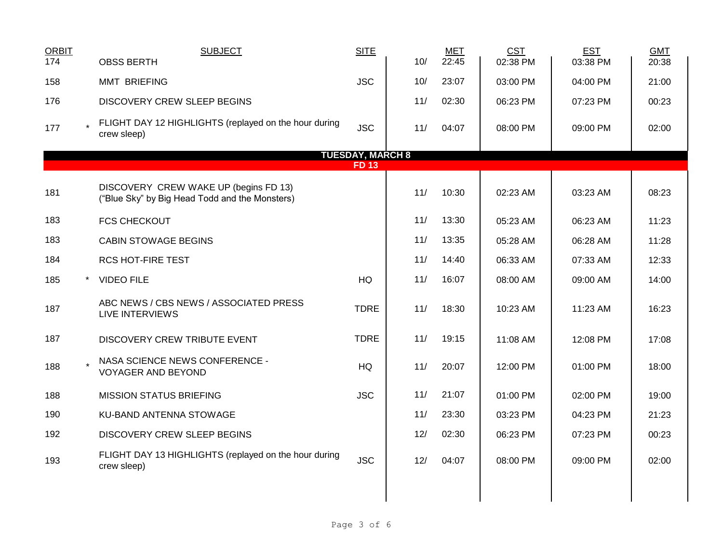| <b>ORBIT</b><br>174 | <b>SUBJECT</b><br><b>OBSS BERTH</b>                                                     | <b>SITE</b>             | 10/ | <b>MET</b><br>22:45 | <b>CST</b><br>02:38 PM | <b>EST</b><br>03:38 PM | <b>GMT</b><br>20:38 |
|---------------------|-----------------------------------------------------------------------------------------|-------------------------|-----|---------------------|------------------------|------------------------|---------------------|
| 158                 | <b>MMT BRIEFING</b>                                                                     | <b>JSC</b>              | 10/ | 23:07               | 03:00 PM               | 04:00 PM               | 21:00               |
| 176                 | DISCOVERY CREW SLEEP BEGINS                                                             |                         | 11/ | 02:30               | 06:23 PM               | 07:23 PM               | 00:23               |
| 177                 | FLIGHT DAY 12 HIGHLIGHTS (replayed on the hour during<br>crew sleep)                    | <b>JSC</b>              | 11/ | 04:07               | 08:00 PM               | 09:00 PM               | 02:00               |
|                     |                                                                                         | <b>TUESDAY, MARCH 8</b> |     |                     |                        |                        |                     |
|                     |                                                                                         | <b>FD13</b>             |     |                     |                        |                        |                     |
| 181                 | DISCOVERY CREW WAKE UP (begins FD 13)<br>("Blue Sky" by Big Head Todd and the Monsters) |                         | 11/ | 10:30               | 02:23 AM               | 03:23 AM               | 08:23               |
| 183                 | <b>FCS CHECKOUT</b>                                                                     |                         | 11/ | 13:30               | 05:23 AM               | 06:23 AM               | 11:23               |
| 183                 | <b>CABIN STOWAGE BEGINS</b>                                                             |                         | 11/ | 13:35               | 05:28 AM               | 06:28 AM               | 11:28               |
| 184                 | <b>RCS HOT-FIRE TEST</b>                                                                |                         | 11/ | 14:40               | 06:33 AM               | 07:33 AM               | 12:33               |
| 185<br>$\star$      | <b>VIDEO FILE</b>                                                                       | HQ                      | 11/ | 16:07               | 08:00 AM               | 09:00 AM               | 14:00               |
| 187                 | ABC NEWS / CBS NEWS / ASSOCIATED PRESS<br>LIVE INTERVIEWS                               | <b>TDRE</b>             | 11/ | 18:30               | 10:23 AM               | 11:23 AM               | 16:23               |
| 187                 | DISCOVERY CREW TRIBUTE EVENT                                                            | <b>TDRE</b>             | 11/ | 19:15               | 11:08 AM               | 12:08 PM               | 17:08               |
| 188                 | NASA SCIENCE NEWS CONFERENCE -<br>VOYAGER AND BEYOND                                    | HQ                      | 11/ | 20:07               | 12:00 PM               | 01:00 PM               | 18:00               |
| 188                 | <b>MISSION STATUS BRIEFING</b>                                                          | <b>JSC</b>              | 11/ | 21:07               | 01:00 PM               | 02:00 PM               | 19:00               |
| 190                 | KU-BAND ANTENNA STOWAGE                                                                 |                         | 11/ | 23:30               | 03:23 PM               | 04:23 PM               | 21:23               |
| 192                 | DISCOVERY CREW SLEEP BEGINS                                                             |                         | 12/ | 02:30               | 06:23 PM               | 07:23 PM               | 00:23               |
| 193                 | FLIGHT DAY 13 HIGHLIGHTS (replayed on the hour during<br>crew sleep)                    | <b>JSC</b>              | 12/ | 04:07               | 08:00 PM               | 09:00 PM               | 02:00               |
|                     |                                                                                         |                         |     |                     |                        |                        |                     |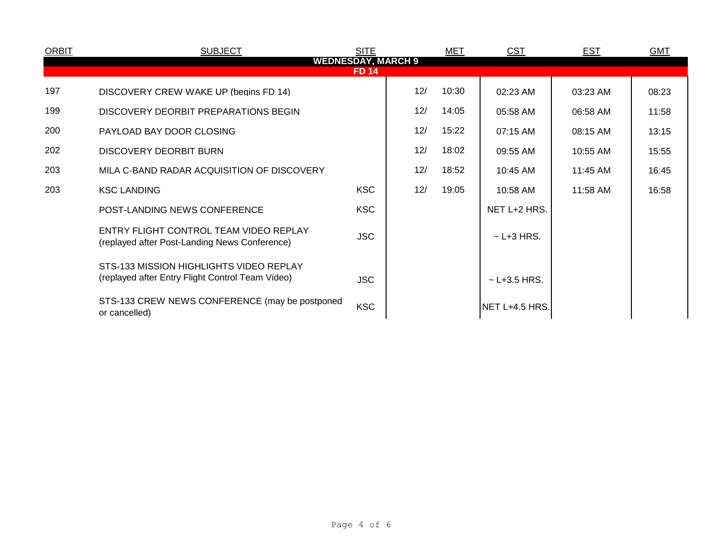| <b>ORBIT</b>                              | <b>SUBJECT</b>                                                                              | <b>SITE</b> |     | MET   | <b>CST</b>        | <u>EST</u> | <b>GMT</b> |  |  |
|-------------------------------------------|---------------------------------------------------------------------------------------------|-------------|-----|-------|-------------------|------------|------------|--|--|
| <b>WEDNESDAY, MARCH 9</b><br><b>FD 14</b> |                                                                                             |             |     |       |                   |            |            |  |  |
| 197                                       | DISCOVERY CREW WAKE UP (begins FD 14)                                                       |             | 12/ | 10:30 | 02:23 AM          | 03:23 AM   | 08:23      |  |  |
| 199                                       | DISCOVERY DEORBIT PREPARATIONS BEGIN                                                        |             | 12/ | 14:05 | 05:58 AM          | 06:58 AM   | 11:58      |  |  |
| 200                                       | PAYLOAD BAY DOOR CLOSING                                                                    |             | 12/ | 15:22 | 07:15 AM          | 08:15 AM   | 13:15      |  |  |
| 202                                       | DISCOVERY DEORBIT BURN                                                                      |             | 12/ | 18:02 | 09:55 AM          | 10:55 AM   | 15:55      |  |  |
| 203                                       | MILA C-BAND RADAR ACQUISITION OF DISCOVERY                                                  |             | 12/ | 18:52 | 10:45 AM          | 11:45 AM   | 16:45      |  |  |
| 203                                       | <b>KSC LANDING</b>                                                                          | <b>KSC</b>  | 12/ | 19:05 | 10:58 AM          | 11:58 AM   | 16:58      |  |  |
|                                           | POST-LANDING NEWS CONFERENCE                                                                | <b>KSC</b>  |     |       | NET L+2 HRS.      |            |            |  |  |
|                                           | ENTRY FLIGHT CONTROL TEAM VIDEO REPLAY<br>(replayed after Post-Landing News Conference)     | <b>JSC</b>  |     |       | $\sim$ L+3 HRS.   |            |            |  |  |
|                                           | STS-133 MISSION HIGHLIGHTS VIDEO REPLAY<br>(replayed after Entry Flight Control Team Video) | <b>JSC</b>  |     |       | $\sim$ L+3.5 HRS. |            |            |  |  |
|                                           | STS-133 CREW NEWS CONFERENCE (may be postponed<br>or cancelled)                             | <b>KSC</b>  |     |       | NET L+4.5 HRS.    |            |            |  |  |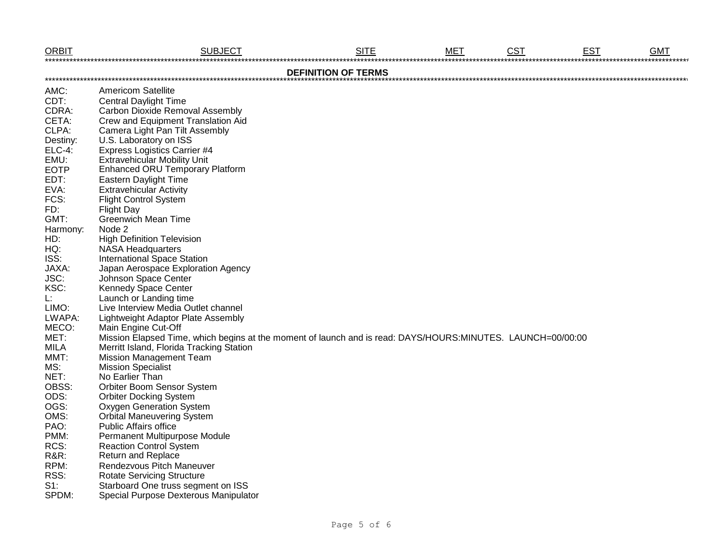| <b>ORBIT</b>    | <b>SUBJECT</b>                                                                                              | <b>SITE</b>                | <b>MET</b> | <b>CST</b> | <b>EST</b> | <b>GMT</b><br>****************** |
|-----------------|-------------------------------------------------------------------------------------------------------------|----------------------------|------------|------------|------------|----------------------------------|
|                 |                                                                                                             | <b>DEFINITION OF TERMS</b> |            |            |            |                                  |
|                 | <b>Americom Satellite</b>                                                                                   |                            |            |            |            |                                  |
| AMC:            |                                                                                                             |                            |            |            |            |                                  |
| CDT:            | <b>Central Daylight Time</b>                                                                                |                            |            |            |            |                                  |
| CDRA:           | <b>Carbon Dioxide Removal Assembly</b>                                                                      |                            |            |            |            |                                  |
| CETA:           | Crew and Equipment Translation Aid                                                                          |                            |            |            |            |                                  |
| CLPA:           | Camera Light Pan Tilt Assembly                                                                              |                            |            |            |            |                                  |
| Destiny:        | U.S. Laboratory on ISS                                                                                      |                            |            |            |            |                                  |
| <b>ELC-4:</b>   | <b>Express Logistics Carrier #4</b>                                                                         |                            |            |            |            |                                  |
| EMU:            | <b>Extravehicular Mobility Unit</b>                                                                         |                            |            |            |            |                                  |
| <b>EOTP</b>     | <b>Enhanced ORU Temporary Platform</b>                                                                      |                            |            |            |            |                                  |
| EDT:            | Eastern Daylight Time                                                                                       |                            |            |            |            |                                  |
| EVA:            | <b>Extravehicular Activity</b>                                                                              |                            |            |            |            |                                  |
| FCS:            | <b>Flight Control System</b>                                                                                |                            |            |            |            |                                  |
| FD:             | <b>Flight Day</b>                                                                                           |                            |            |            |            |                                  |
| GMT:            | <b>Greenwich Mean Time</b>                                                                                  |                            |            |            |            |                                  |
| Harmony:        | Node 2                                                                                                      |                            |            |            |            |                                  |
| HD:             | <b>High Definition Television</b>                                                                           |                            |            |            |            |                                  |
| HQ:             | <b>NASA Headquarters</b>                                                                                    |                            |            |            |            |                                  |
| ISS:            | <b>International Space Station</b>                                                                          |                            |            |            |            |                                  |
| JAXA:           | Japan Aerospace Exploration Agency                                                                          |                            |            |            |            |                                  |
| JSC:            | Johnson Space Center                                                                                        |                            |            |            |            |                                  |
| KSC:            | Kennedy Space Center                                                                                        |                            |            |            |            |                                  |
| L:              | Launch or Landing time                                                                                      |                            |            |            |            |                                  |
| LIMO:           | Live Interview Media Outlet channel                                                                         |                            |            |            |            |                                  |
| LWAPA:          | Lightweight Adaptor Plate Assembly                                                                          |                            |            |            |            |                                  |
| MECO:           | Main Engine Cut-Off                                                                                         |                            |            |            |            |                                  |
| MET:            | Mission Elapsed Time, which begins at the moment of launch and is read: DAYS/HOURS:MINUTES. LAUNCH=00/00:00 |                            |            |            |            |                                  |
| MILA            | Merritt Island, Florida Tracking Station                                                                    |                            |            |            |            |                                  |
| MMT:            | <b>Mission Management Team</b>                                                                              |                            |            |            |            |                                  |
| MS:             | <b>Mission Specialist</b>                                                                                   |                            |            |            |            |                                  |
| NET:            | No Earlier Than                                                                                             |                            |            |            |            |                                  |
| OBSS:           | Orbiter Boom Sensor System                                                                                  |                            |            |            |            |                                  |
| ODS:            | <b>Orbiter Docking System</b>                                                                               |                            |            |            |            |                                  |
| OGS:            | Oxygen Generation System                                                                                    |                            |            |            |            |                                  |
| OMS:            | <b>Orbital Maneuvering System</b>                                                                           |                            |            |            |            |                                  |
| PAO:            | <b>Public Affairs office</b>                                                                                |                            |            |            |            |                                  |
| PMM:            | Permanent Multipurpose Module                                                                               |                            |            |            |            |                                  |
| RCS:            | <b>Reaction Control System</b>                                                                              |                            |            |            |            |                                  |
| <b>R&amp;R:</b> | Return and Replace                                                                                          |                            |            |            |            |                                  |
| RPM:            | Rendezvous Pitch Maneuver                                                                                   |                            |            |            |            |                                  |
| RSS:            | <b>Rotate Servicing Structure</b>                                                                           |                            |            |            |            |                                  |
| $S1$ :          | Starboard One truss segment on ISS                                                                          |                            |            |            |            |                                  |
| SPDM:           | Special Purpose Dexterous Manipulator                                                                       |                            |            |            |            |                                  |